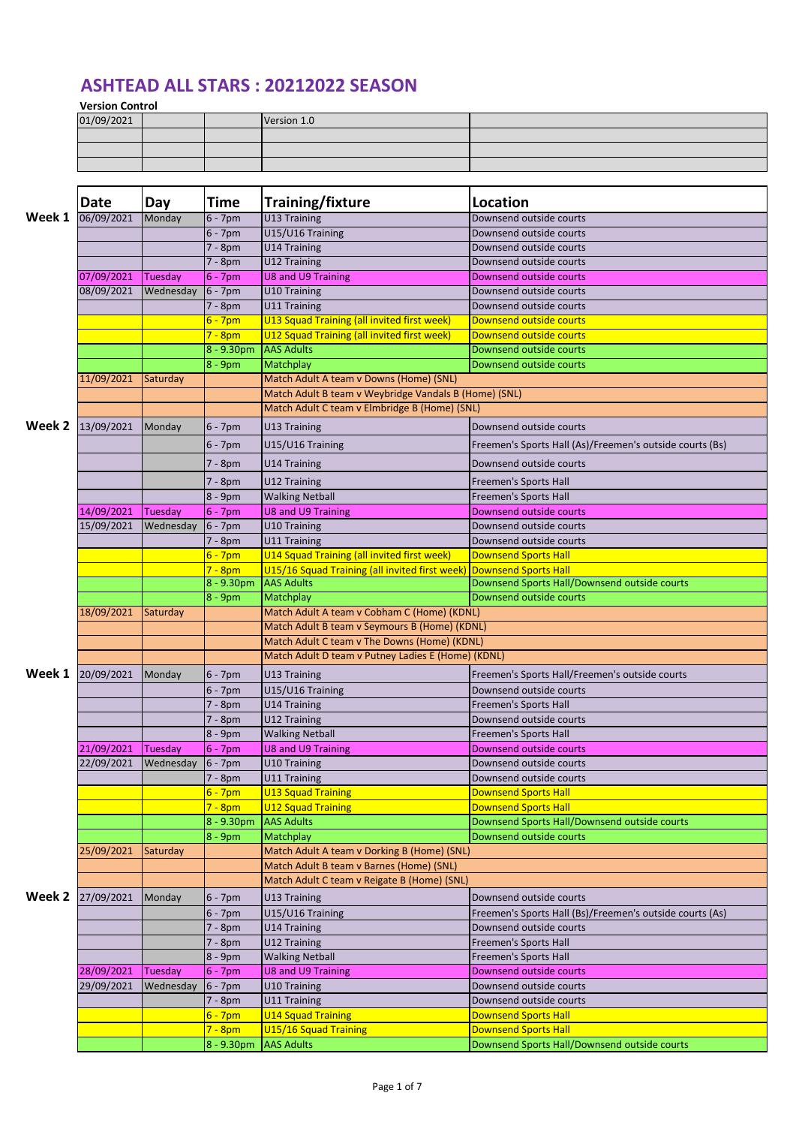## **ASHTEAD ALL STARS : 20212022 SEASON**

**Version Control**

|            | -------------- |  |             |  |  |  |  |  |  |  |
|------------|----------------|--|-------------|--|--|--|--|--|--|--|
| 01/09/2021 |                |  | Version 1.0 |  |  |  |  |  |  |  |
|            |                |  |             |  |  |  |  |  |  |  |
|            |                |  |             |  |  |  |  |  |  |  |
|            |                |  |             |  |  |  |  |  |  |  |

|        | Date                     | Day       | Time         | Training/fixture                                      | <b>Location</b>                                          |  |  |
|--------|--------------------------|-----------|--------------|-------------------------------------------------------|----------------------------------------------------------|--|--|
| Week 1 | 06/09/2021               | Monday    | $6 - 7$ pm   | U13 Training                                          | Downsend outside courts                                  |  |  |
|        |                          |           | $6 - 7$ pm   | U15/U16 Training                                      | Downsend outside courts                                  |  |  |
|        |                          |           | 7 - 8pm      | U14 Training                                          | Downsend outside courts                                  |  |  |
|        |                          |           | 7 - 8pm      | U12 Training                                          | Downsend outside courts                                  |  |  |
|        | 07/09/2021               | Tuesday   | $6 - 7$ pm   | <b>U8 and U9 Training</b>                             | Downsend outside courts                                  |  |  |
|        | 08/09/2021               | Wednesday | $6 - 7$ pm   | U10 Training                                          | Downsend outside courts                                  |  |  |
|        |                          |           | 7 - 8pm      | U11 Training                                          | Downsend outside courts                                  |  |  |
|        |                          |           | $6 - 7$ pm   | U13 Squad Training (all invited first week)           | Downsend outside courts                                  |  |  |
|        |                          |           | $7 - 8pm$    | U12 Squad Training (all invited first week)           | Downsend outside courts                                  |  |  |
|        |                          |           | $8 - 9.30pm$ | <b>AAS Adults</b>                                     | Downsend outside courts                                  |  |  |
|        |                          |           | $8 - 9$ pm   | Matchplay                                             | Downsend outside courts                                  |  |  |
|        | 11/09/2021               | Saturday  |              | Match Adult A team v Downs (Home) (SNL)               |                                                          |  |  |
|        |                          |           |              | Match Adult B team v Weybridge Vandals B (Home) (SNL) |                                                          |  |  |
|        |                          |           |              | Match Adult C team v Elmbridge B (Home) (SNL)         |                                                          |  |  |
| Week 2 | 13/09/2021               | Monday    | $6 - 7$ pm   | U13 Training                                          | Downsend outside courts                                  |  |  |
|        |                          |           |              |                                                       |                                                          |  |  |
|        |                          |           | $6 - 7$ pm   | U15/U16 Training                                      | Freemen's Sports Hall (As)/Freemen's outside courts (Bs) |  |  |
|        |                          |           | 7 - 8pm      | <b>U14 Training</b>                                   | Downsend outside courts                                  |  |  |
|        |                          |           | 7 - 8pm      | U12 Training                                          | Freemen's Sports Hall                                    |  |  |
|        |                          |           | 8 - 9pm      | <b>Walking Netball</b>                                | <b>Freemen's Sports Hall</b>                             |  |  |
|        | 14/09/2021               | Tuesday   | $6 - 7$ pm   | <b>U8 and U9 Training</b>                             | Downsend outside courts                                  |  |  |
|        | 15/09/2021               | Wednesday | $6 - 7$ pm   | U10 Training                                          | Downsend outside courts                                  |  |  |
|        |                          |           | 7 - 8pm      | <b>U11 Training</b>                                   | Downsend outside courts                                  |  |  |
|        |                          |           | $6 - 7$ pm   | U14 Squad Training (all invited first week)           | <b>Downsend Sports Hall</b>                              |  |  |
|        |                          |           | $7 - 8pm$    | U15/16 Squad Training (all invited first week)        | <b>Downsend Sports Hall</b>                              |  |  |
|        |                          |           | 8 - 9.30pm   | <b>AAS Adults</b>                                     | Downsend Sports Hall/Downsend outside courts             |  |  |
|        |                          |           | $8 - 9$ pm   | Matchplay                                             | Downsend outside courts                                  |  |  |
|        | 18/09/2021               | Saturday  |              | Match Adult A team v Cobham C (Home) (KDNL)           |                                                          |  |  |
|        |                          |           |              | Match Adult B team v Seymours B (Home) (KDNL)         |                                                          |  |  |
|        |                          |           |              | Match Adult C team v The Downs (Home) (KDNL)          |                                                          |  |  |
|        |                          |           |              | Match Adult D team v Putney Ladies E (Home) (KDNL)    |                                                          |  |  |
| Week 1 | 20/09/2021               | Monday    | $6 - 7$ pm   | U13 Training                                          | Freemen's Sports Hall/Freemen's outside courts           |  |  |
|        |                          |           |              |                                                       |                                                          |  |  |
|        |                          |           | $6 - 7$ pm   | U15/U16 Training                                      | Downsend outside courts                                  |  |  |
|        |                          |           | 7 - 8pm      | U14 Training                                          | Freemen's Sports Hall                                    |  |  |
|        |                          |           | 7 - 8pm      | U12 Training                                          | Downsend outside courts                                  |  |  |
|        |                          |           | 8 - 9pm      | <b>Walking Netball</b><br><b>U8 and U9 Training</b>   | Freemen's Sports Hall                                    |  |  |
|        | 21/09/2021<br>22/09/2021 | Tuesday   | $6 - 7$ pm   |                                                       | Downsend outside courts                                  |  |  |
|        |                          | Wednesday | $6 - 7$ pm   | U10 Training                                          | Downsend outside courts                                  |  |  |
|        |                          |           | $7 - 8pm$    | U11 Training                                          | Downsend outside courts                                  |  |  |
|        |                          |           | $6 - 7pm$    | <b>U13 Squad Training</b>                             | <b>Downsend Sports Hall</b>                              |  |  |
|        |                          |           | $7 - 8pm$    | <b>U12 Squad Training</b>                             | <b>Downsend Sports Hall</b>                              |  |  |
|        |                          |           | 8 - 9.30pm   | <b>AAS Adults</b>                                     | Downsend Sports Hall/Downsend outside courts             |  |  |
|        |                          |           | 8 - 9pm      | Matchplay                                             | Downsend outside courts                                  |  |  |
|        | 25/09/2021               | Saturday  |              | Match Adult A team v Dorking B (Home) (SNL)           |                                                          |  |  |
|        |                          |           |              | Match Adult B team v Barnes (Home) (SNL)              |                                                          |  |  |
|        |                          |           |              | Match Adult C team v Reigate B (Home) (SNL)           |                                                          |  |  |
| Week 2 | 27/09/2021               | Monday    | 6 - 7pm      | U13 Training                                          | Downsend outside courts                                  |  |  |
|        |                          |           | $6 - 7$ pm   | U15/U16 Training                                      | Freemen's Sports Hall (Bs)/Freemen's outside courts (As) |  |  |
|        |                          |           | 7 - 8pm      | <b>U14 Training</b>                                   | Downsend outside courts                                  |  |  |
|        |                          |           | 7 - 8pm      | U12 Training                                          | Freemen's Sports Hall                                    |  |  |
|        |                          |           | 8 - 9pm      | <b>Walking Netball</b>                                | Freemen's Sports Hall                                    |  |  |
|        | 28/09/2021               | Tuesday   | $6 - 7$ pm   | <b>U8 and U9 Training</b>                             | Downsend outside courts                                  |  |  |
|        | 29/09/2021               | Wednesday | $6 - 7$ pm   | U10 Training                                          | Downsend outside courts                                  |  |  |
|        |                          |           | 7 - 8pm      | <b>U11 Training</b>                                   | Downsend outside courts                                  |  |  |
|        |                          |           | $6 - 7$ pm   | <b>U14 Squad Training</b>                             | <b>Downsend Sports Hall</b>                              |  |  |
|        |                          |           | $7 - 8pm$    | U15/16 Squad Training                                 | <b>Downsend Sports Hall</b>                              |  |  |
|        |                          |           | 8 - 9.30pm   | <b>AAS Adults</b>                                     | Downsend Sports Hall/Downsend outside courts             |  |  |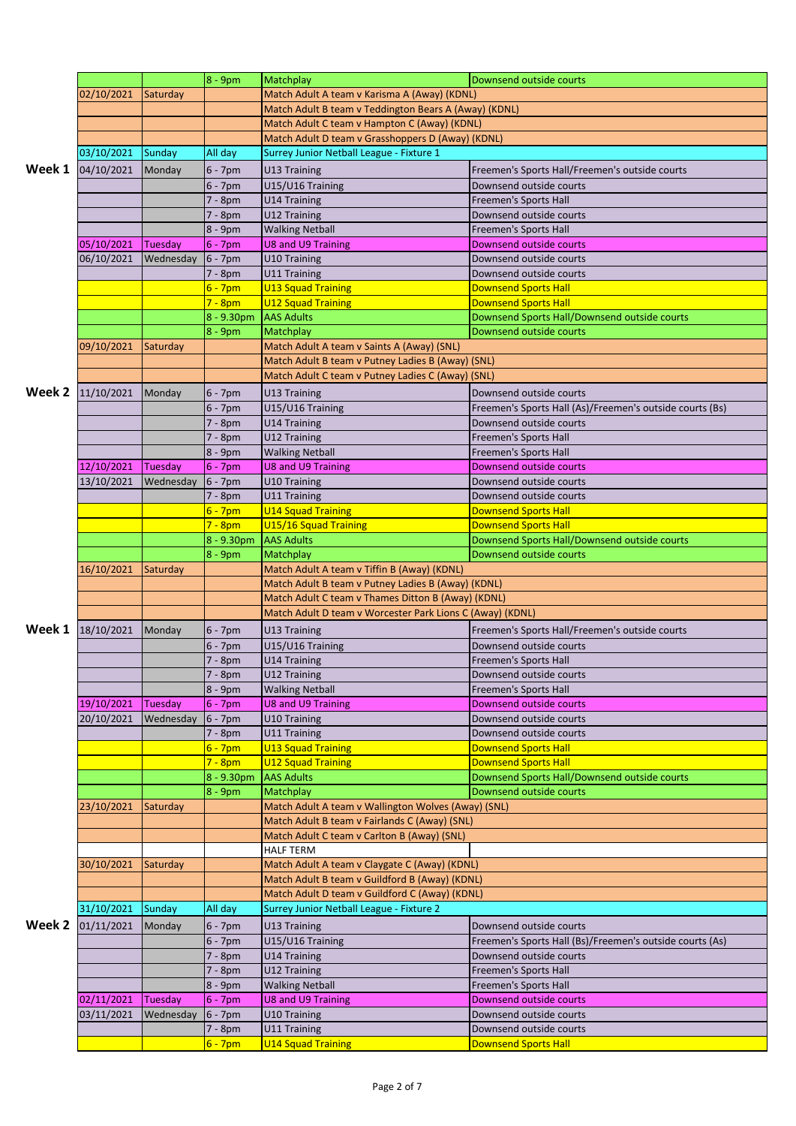|        |                   |           | 8 - 9pm               | Matchplay                                                 | Downsend outside courts                                  |  |
|--------|-------------------|-----------|-----------------------|-----------------------------------------------------------|----------------------------------------------------------|--|
|        |                   |           |                       | Match Adult A team v Karisma A (Away) (KDNL)              |                                                          |  |
|        | 02/10/2021        | Saturday  |                       |                                                           |                                                          |  |
|        |                   |           |                       | Match Adult B team v Teddington Bears A (Away) (KDNL)     |                                                          |  |
|        |                   |           |                       | Match Adult C team v Hampton C (Away) (KDNL)              |                                                          |  |
|        |                   |           |                       | Match Adult D team v Grasshoppers D (Away) (KDNL)         |                                                          |  |
|        | 03/10/2021        | Sunday    | All day               | Surrey Junior Netball League - Fixture 1                  |                                                          |  |
| Week 1 | 04/10/2021        | Monday    | $6 - 7$ pm            | U13 Training                                              | Freemen's Sports Hall/Freemen's outside courts           |  |
|        |                   |           |                       |                                                           |                                                          |  |
|        |                   |           | $6 - 7$ pm            | U15/U16 Training                                          | Downsend outside courts                                  |  |
|        |                   |           | 7 - 8pm               | <b>U14 Training</b>                                       | <b>Freemen's Sports Hall</b>                             |  |
|        |                   |           | 7 - 8pm               | U12 Training                                              | Downsend outside courts                                  |  |
|        |                   |           | 8 - 9pm               | <b>Walking Netball</b>                                    | <b>Freemen's Sports Hall</b>                             |  |
|        | 05/10/2021        | Tuesday   | $6 - 7$ pm            | U8 and U9 Training                                        | Downsend outside courts                                  |  |
|        | 06/10/2021        | Wednesday | $6 - 7$ pm            | U10 Training                                              | Downsend outside courts                                  |  |
|        |                   |           | $7 - 8pm$             | U11 Training                                              | Downsend outside courts                                  |  |
|        |                   |           |                       |                                                           | <b>Downsend Sports Hall</b>                              |  |
|        |                   |           | 6 - 7pm               | <b>U13 Squad Training</b>                                 |                                                          |  |
|        |                   |           | $7 - 8pm$             | <b>U12 Squad Training</b>                                 | <b>Downsend Sports Hall</b>                              |  |
|        |                   |           | 8 - 9.30pm            | <b>AAS Adults</b>                                         | Downsend Sports Hall/Downsend outside courts             |  |
|        |                   |           | 8 - 9pm               | Matchplay                                                 | Downsend outside courts                                  |  |
|        | 09/10/2021        | Saturday  |                       | Match Adult A team v Saints A (Away) (SNL)                |                                                          |  |
|        |                   |           |                       | Match Adult B team v Putney Ladies B (Away) (SNL)         |                                                          |  |
|        |                   |           |                       | Match Adult C team v Putney Ladies C (Away) (SNL)         |                                                          |  |
|        |                   |           |                       |                                                           |                                                          |  |
| Week 2 | 11/10/2021        | Monday    | $6 - 7$ pm            | U13 Training                                              | Downsend outside courts                                  |  |
|        |                   |           | $6 - 7$ pm            | U15/U16 Training                                          | Freemen's Sports Hall (As)/Freemen's outside courts (Bs) |  |
|        |                   |           | 7 - 8pm               | <b>U14 Training</b>                                       | Downsend outside courts                                  |  |
|        |                   |           | 7 - 8pm               | U12 Training                                              | <b>Freemen's Sports Hall</b>                             |  |
|        |                   |           | 8 - 9pm               | <b>Walking Netball</b>                                    | <b>Freemen's Sports Hall</b>                             |  |
|        | 12/10/2021        | Tuesday   | $6 - 7$ pm            | <b>U8 and U9 Training</b>                                 | Downsend outside courts                                  |  |
|        | 13/10/2021        | Wednesday | $6 - 7$ pm            | U10 Training                                              | Downsend outside courts                                  |  |
|        |                   |           |                       |                                                           |                                                          |  |
|        |                   |           | 7 - 8pm               | U11 Training                                              | Downsend outside courts                                  |  |
|        |                   |           | $6 - 7$ pm            | <b>U14 Squad Training</b>                                 | <b>Downsend Sports Hall</b>                              |  |
|        |                   |           | $7 - 8pm$             | U15/16 Squad Training                                     | <b>Downsend Sports Hall</b>                              |  |
|        |                   |           | $8 - 9.30pm$          | <b>AAS Adults</b>                                         | Downsend Sports Hall/Downsend outside courts             |  |
|        |                   |           | 8 - 9pm               | Matchplay                                                 | Downsend outside courts                                  |  |
|        | 16/10/2021        | Saturday  |                       | Match Adult A team v Tiffin B (Away) (KDNL)               |                                                          |  |
|        |                   |           |                       | Match Adult B team v Putney Ladies B (Away) (KDNL)        |                                                          |  |
|        |                   |           |                       | Match Adult C team v Thames Ditton B (Away) (KDNL)        |                                                          |  |
|        |                   |           |                       |                                                           |                                                          |  |
|        |                   |           |                       | Match Adult D team v Worcester Park Lions C (Away) (KDNL) |                                                          |  |
|        | Week 1 18/10/2021 | Monday    | $6 - 7$ pm            | U13 Training                                              | Freemen's Sports Hall/Freemen's outside courts           |  |
|        |                   |           | $6 - 7$ pm            | U15/U16 Training                                          | Downsend outside courts                                  |  |
|        |                   |           | $7 - 8pm$             | <b>U14 Training</b>                                       | Freemen's Sports Hall                                    |  |
|        |                   |           |                       |                                                           |                                                          |  |
|        |                   |           |                       |                                                           |                                                          |  |
|        |                   |           | 7 - 8pm               | U12 Training                                              | Downsend outside courts                                  |  |
|        |                   |           | 8 - 9pm               | <b>Walking Netball</b>                                    | <b>Freemen's Sports Hall</b>                             |  |
|        | 19/10/2021        | Tuesday   | $6 - 7$ pm            | <b>U8 and U9 Training</b>                                 | Downsend outside courts                                  |  |
|        | 20/10/2021        | Wednesday | $6 - 7$ pm            | U10 Training                                              | Downsend outside courts                                  |  |
|        |                   |           | 7 - 8pm               | U11 Training                                              | Downsend outside courts                                  |  |
|        |                   |           | $6 - 7pm$             | <b>U13 Squad Training</b>                                 | <b>Downsend Sports Hall</b>                              |  |
|        |                   |           | $7 - 8pm$             | <b>U12 Squad Training</b>                                 | <b>Downsend Sports Hall</b>                              |  |
|        |                   |           |                       | <b>AAS Adults</b>                                         |                                                          |  |
|        |                   |           | 8 - 9.30pm            |                                                           | Downsend Sports Hall/Downsend outside courts             |  |
|        |                   |           | $8 - 9$ pm            | Matchplay                                                 | Downsend outside courts                                  |  |
|        | 23/10/2021        | Saturday  |                       | Match Adult A team v Wallington Wolves (Away) (SNL)       |                                                          |  |
|        |                   |           |                       | Match Adult B team v Fairlands C (Away) (SNL)             |                                                          |  |
|        |                   |           |                       | Match Adult C team v Carlton B (Away) (SNL)               |                                                          |  |
|        |                   |           |                       | HALF TERM                                                 |                                                          |  |
|        | 30/10/2021        | Saturday  |                       | Match Adult A team v Claygate C (Away) (KDNL)             |                                                          |  |
|        |                   |           |                       | Match Adult B team v Guildford B (Away) (KDNL)            |                                                          |  |
|        |                   |           |                       |                                                           |                                                          |  |
|        |                   |           |                       | Match Adult D team v Guildford C (Away) (KDNL)            |                                                          |  |
|        | 31/10/2021        | Sunday    | All day               | Surrey Junior Netball League - Fixture 2                  |                                                          |  |
| Week 2 | 01/11/2021        | Monday    | $6 - 7$ pm            | U13 Training                                              | Downsend outside courts                                  |  |
|        |                   |           | $6 - 7$ pm            | U15/U16 Training                                          | Freemen's Sports Hall (Bs)/Freemen's outside courts (As) |  |
|        |                   |           | 7 - 8pm               | <b>U14 Training</b>                                       | Downsend outside courts                                  |  |
|        |                   |           | $7 - 8pm$             | U12 Training                                              | Freemen's Sports Hall                                    |  |
|        |                   |           | 8 - 9pm               | <b>Walking Netball</b>                                    | <b>Freemen's Sports Hall</b>                             |  |
|        |                   |           |                       |                                                           | Downsend outside courts                                  |  |
|        | 02/11/2021        | Tuesday   | $6 - 7$ pm            | <b>U8 and U9 Training</b>                                 |                                                          |  |
|        | 03/11/2021        | Wednesday | $6 - 7$ pm            | U10 Training                                              | Downsend outside courts                                  |  |
|        |                   |           | 7 - 8pm<br>$6 - 7$ pm | U11 Training<br><b>U14 Squad Training</b>                 | Downsend outside courts<br><b>Downsend Sports Hall</b>   |  |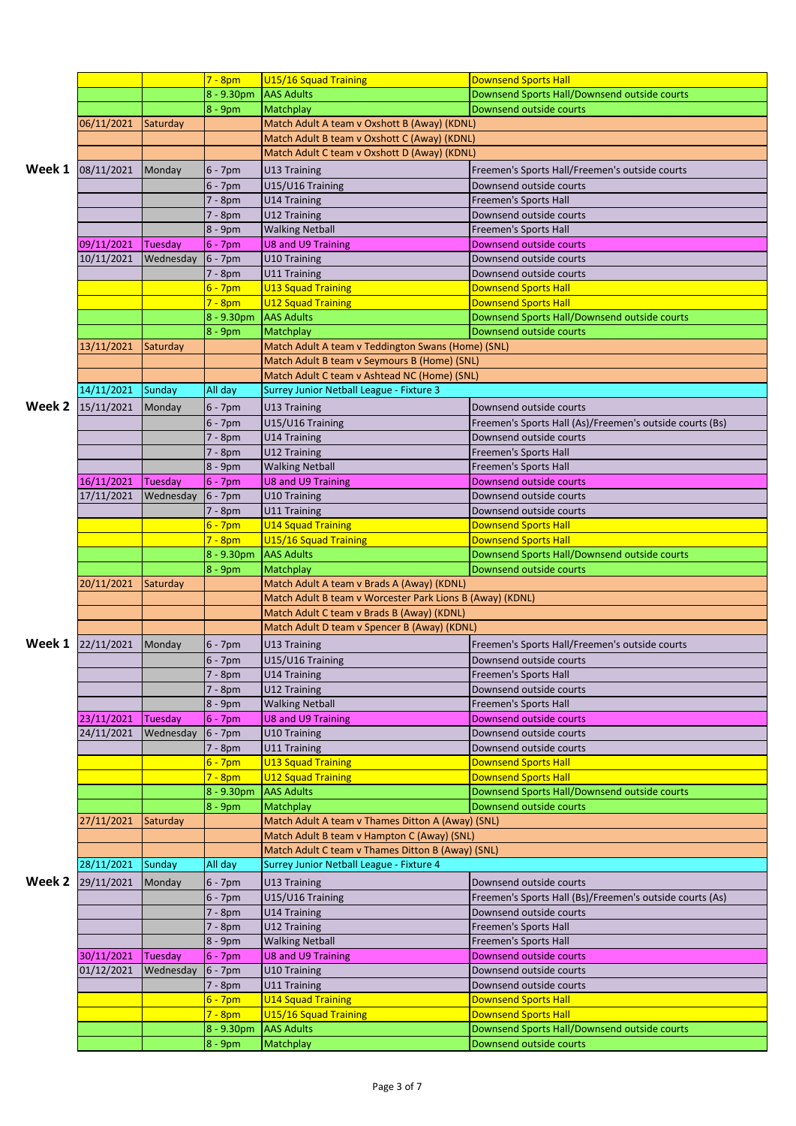|        |            |           | $7 - 8pm$                | U15/16 Squad Training                                     | <b>Downsend Sports Hall</b>                                             |
|--------|------------|-----------|--------------------------|-----------------------------------------------------------|-------------------------------------------------------------------------|
|        |            |           | $8 - 9.30$ pm            | <b>AAS Adults</b>                                         | Downsend Sports Hall/Downsend outside courts                            |
|        |            |           | $8 - 9$ pm               | Matchplay                                                 | Downsend outside courts                                                 |
|        | 06/11/2021 | Saturday  |                          | Match Adult A team v Oxshott B (Away) (KDNL)              |                                                                         |
|        |            |           |                          | Match Adult B team v Oxshott C (Away) (KDNL)              |                                                                         |
|        |            |           |                          | Match Adult C team v Oxshott D (Away) (KDNL)              |                                                                         |
| Week 1 | 08/11/2021 | Monday    | $6 - 7$ pm               | U13 Training                                              | Freemen's Sports Hall/Freemen's outside courts                          |
|        |            |           | $6 - 7$ pm               | U15/U16 Training                                          | Downsend outside courts                                                 |
|        |            |           | 7 - 8pm                  | U14 Training                                              | <b>Freemen's Sports Hall</b>                                            |
|        |            |           | 7 - 8pm                  | U12 Training                                              | Downsend outside courts                                                 |
|        |            |           | 8 - 9pm                  | <b>Walking Netball</b>                                    | <b>Freemen's Sports Hall</b>                                            |
|        | 09/11/2021 | Tuesday   | $6 - 7$ pm               | <b>U8 and U9 Training</b>                                 | Downsend outside courts                                                 |
|        | 10/11/2021 | Wednesday | $6 - 7$ pm               | U10 Training                                              | Downsend outside courts                                                 |
|        |            |           |                          | U11 Training                                              | Downsend outside courts                                                 |
|        |            |           | 7 - 8pm                  |                                                           | <b>Downsend Sports Hall</b>                                             |
|        |            |           | $6 - 7$ pm               | <b>U13 Squad Training</b>                                 |                                                                         |
|        |            |           | $7 - 8pm$                | <b>U12 Squad Training</b>                                 | <b>Downsend Sports Hall</b>                                             |
|        |            |           | 8 - 9.30pm               | <b>AAS Adults</b>                                         | Downsend Sports Hall/Downsend outside courts                            |
|        |            |           | $8 - 9pm$                | Matchplay                                                 | Downsend outside courts                                                 |
|        | 13/11/2021 | Saturday  |                          | Match Adult A team v Teddington Swans (Home) (SNL)        |                                                                         |
|        |            |           |                          | Match Adult B team v Seymours B (Home) (SNL)              |                                                                         |
|        |            |           |                          | Match Adult C team v Ashtead NC (Home) (SNL)              |                                                                         |
|        | 14/11/2021 | Sunday    | All day                  | Surrey Junior Netball League - Fixture 3                  |                                                                         |
| Week 2 | 15/11/2021 | Monday    | $6 - 7$ pm               | U13 Training                                              | Downsend outside courts                                                 |
|        |            |           | $6 - 7$ pm               | U15/U16 Training                                          | Freemen's Sports Hall (As)/Freemen's outside courts (Bs)                |
|        |            |           | 7 - 8pm                  | U14 Training                                              | Downsend outside courts                                                 |
|        |            |           | 7 - 8pm                  | U12 Training                                              | <b>Freemen's Sports Hall</b>                                            |
|        |            |           | $8 - 9$ pm               | <b>Walking Netball</b>                                    | Freemen's Sports Hall                                                   |
|        | 16/11/2021 | Tuesday   | $6 - 7$ pm               | U8 and U9 Training                                        | Downsend outside courts                                                 |
|        | 17/11/2021 | Wednesday | $6 - 7$ pm               | U10 Training                                              | Downsend outside courts                                                 |
|        |            |           | 7 - 8pm                  | U11 Training                                              | Downsend outside courts                                                 |
|        |            |           | $6 - 7pm$                |                                                           | <b>Downsend Sports Hall</b>                                             |
|        |            |           |                          | <b>U14 Squad Training</b>                                 |                                                                         |
|        |            |           | $7 - 8pm$                | U15/16 Squad Training                                     | <b>Downsend Sports Hall</b>                                             |
|        |            |           | 8 - 9.30pm               | <b>AAS Adults</b>                                         | Downsend Sports Hall/Downsend outside courts                            |
|        |            |           |                          |                                                           |                                                                         |
|        |            |           | 8 - 9pm                  | Matchplay                                                 | Downsend outside courts                                                 |
|        | 20/11/2021 | Saturday  |                          | Match Adult A team v Brads A (Away) (KDNL)                |                                                                         |
|        |            |           |                          | Match Adult B team v Worcester Park Lions B (Away) (KDNL) |                                                                         |
|        |            |           |                          | Match Adult C team v Brads B (Away) (KDNL)                |                                                                         |
|        |            |           |                          | Match Adult D team v Spencer B (Away) (KDNL)              |                                                                         |
| Week 1 | 22/11/2021 | Monday    | $6 - 7$ pm               | U13 Training                                              | Freemen's Sports Hall/Freemen's outside courts                          |
|        |            |           | $6 - 7$ pm               | U15/U16 Training                                          | Downsend outside courts                                                 |
|        |            |           | 7 - 8pm                  | U14 Training                                              | Freemen's Sports Hall                                                   |
|        |            |           | 7 - 8pm                  | U12 Training                                              | Downsend outside courts                                                 |
|        |            |           | 8 - 9pm                  | <b>Walking Netball</b>                                    | Freemen's Sports Hall                                                   |
|        | 23/11/2021 | Tuesday   | $6 - 7$ pm               | U8 and U9 Training                                        | Downsend outside courts                                                 |
|        | 24/11/2021 | Wednesday | $6 - 7$ pm               | U10 Training                                              | Downsend outside courts                                                 |
|        |            |           | 7 - 8pm                  | U11 Training                                              | Downsend outside courts                                                 |
|        |            |           | 6 - 7pm                  | <b>U13 Squad Training</b>                                 | <b>Downsend Sports Hall</b>                                             |
|        |            |           | $7 - 8pm$                | <b>U12 Squad Training</b>                                 | <b>Downsend Sports Hall</b>                                             |
|        |            |           | 8 - 9.30pm               | <b>AAS Adults</b>                                         | Downsend Sports Hall/Downsend outside courts                            |
|        |            |           | $8 - 9$ pm               | Matchplay                                                 | Downsend outside courts                                                 |
|        | 27/11/2021 | Saturday  |                          | Match Adult A team v Thames Ditton A (Away) (SNL)         |                                                                         |
|        |            |           |                          | Match Adult B team v Hampton C (Away) (SNL)               |                                                                         |
|        |            |           |                          |                                                           |                                                                         |
|        |            |           |                          | Match Adult C team v Thames Ditton B (Away) (SNL)         |                                                                         |
|        | 28/11/2021 | Sunday    | All day                  | Surrey Junior Netball League - Fixture 4                  |                                                                         |
| Week 2 | 29/11/2021 | Monday    | $6 - 7$ pm               | U13 Training                                              | Downsend outside courts                                                 |
|        |            |           | $6 - 7$ pm               | U15/U16 Training                                          | Freemen's Sports Hall (Bs)/Freemen's outside courts (As)                |
|        |            |           | 7 - 8pm                  | U14 Training                                              | Downsend outside courts                                                 |
|        |            |           | 7 - 8pm                  | U12 Training                                              | Freemen's Sports Hall                                                   |
|        |            |           | 8 - 9pm                  | <b>Walking Netball</b>                                    | Freemen's Sports Hall                                                   |
|        | 30/11/2021 | Tuesday   | $6 - 7$ pm               | U8 and U9 Training                                        | Downsend outside courts                                                 |
|        | 01/12/2021 | Wednesday | $6 - 7$ pm               | U10 Training                                              | Downsend outside courts                                                 |
|        |            |           | 7 - 8pm                  | U11 Training                                              | Downsend outside courts                                                 |
|        |            |           | $6 - 7$ pm               | <b>U14 Squad Training</b>                                 | <b>Downsend Sports Hall</b>                                             |
|        |            |           | $7 - 8pm$                | U15/16 Squad Training                                     | <b>Downsend Sports Hall</b>                                             |
|        |            |           | 8 - 9.30pm<br>$8 - 9$ pm | <b>AAS Adults</b>                                         | Downsend Sports Hall/Downsend outside courts<br>Downsend outside courts |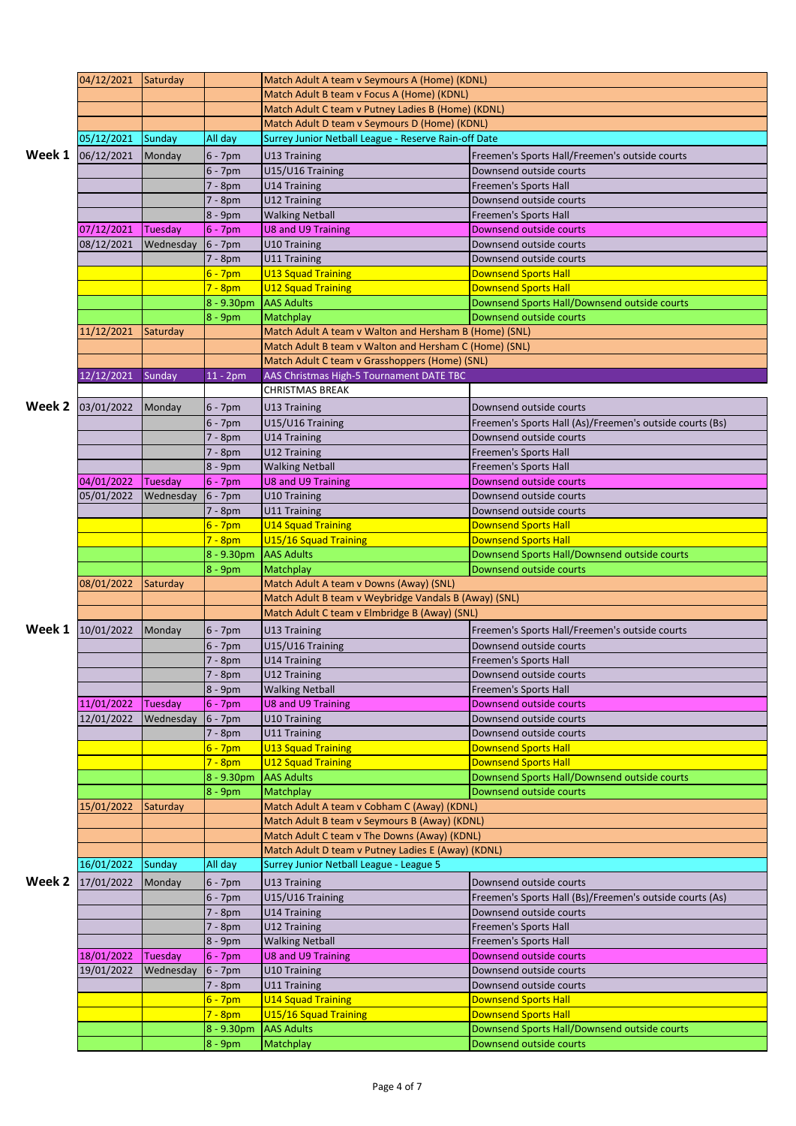|        | 04/12/2021 | Saturday  |              | Match Adult A team v Seymours A (Home) (KDNL)                                                            |                                                          |  |
|--------|------------|-----------|--------------|----------------------------------------------------------------------------------------------------------|----------------------------------------------------------|--|
|        |            |           |              | Match Adult B team v Focus A (Home) (KDNL)                                                               |                                                          |  |
|        |            |           |              | Match Adult C team v Putney Ladies B (Home) (KDNL)                                                       |                                                          |  |
|        |            |           |              | Match Adult D team v Seymours D (Home) (KDNL)                                                            |                                                          |  |
|        | 05/12/2021 | Sunday    | All day      | Surrey Junior Netball League - Reserve Rain-off Date                                                     |                                                          |  |
| Week 1 | 06/12/2021 |           |              |                                                                                                          |                                                          |  |
|        |            | Monday    | $6 - 7$ pm   | U13 Training                                                                                             | Freemen's Sports Hall/Freemen's outside courts           |  |
|        |            |           | $6 - 7$ pm   | U15/U16 Training                                                                                         | Downsend outside courts                                  |  |
|        |            |           | 7 - 8pm      | <b>U14 Training</b>                                                                                      | <b>Freemen's Sports Hall</b>                             |  |
|        |            |           | $7 - 8pm$    | U12 Training                                                                                             | Downsend outside courts                                  |  |
|        |            |           | 8 - 9pm      | <b>Walking Netball</b>                                                                                   | <b>Freemen's Sports Hall</b>                             |  |
|        | 07/12/2021 | Tuesday   | $6 - 7$ pm   | U8 and U9 Training                                                                                       | Downsend outside courts                                  |  |
|        | 08/12/2021 | Wednesday | $6 - 7$ pm   | U10 Training                                                                                             | Downsend outside courts                                  |  |
|        |            |           |              |                                                                                                          |                                                          |  |
|        |            |           | 7 - 8pm      | U11 Training                                                                                             | Downsend outside courts                                  |  |
|        |            |           | $6 - 7$ pm   | <b>U13 Squad Training</b>                                                                                | <b>Downsend Sports Hall</b>                              |  |
|        |            |           | $7 - 8pm$    | <b>U12 Squad Training</b>                                                                                | <b>Downsend Sports Hall</b>                              |  |
|        |            |           | $8 - 9.30pm$ | <b>AAS Adults</b>                                                                                        | Downsend Sports Hall/Downsend outside courts             |  |
|        |            |           | 8 - 9pm      | Matchplay                                                                                                | Downsend outside courts                                  |  |
|        | 11/12/2021 | Saturday  |              | Match Adult A team v Walton and Hersham B (Home) (SNL)                                                   |                                                          |  |
|        |            |           |              |                                                                                                          |                                                          |  |
|        |            |           |              | Match Adult B team v Walton and Hersham C (Home) (SNL)<br>Match Adult C team v Grasshoppers (Home) (SNL) |                                                          |  |
|        |            |           |              |                                                                                                          |                                                          |  |
|        | 12/12/2021 | Sunday    | $11 - 2pm$   | AAS Christmas High-5 Tournament DATE TBC                                                                 |                                                          |  |
|        |            |           |              | <b>CHRISTMAS BREAK</b>                                                                                   |                                                          |  |
| Week 2 | 03/01/2022 | Monday    | $6 - 7$ pm   | U13 Training                                                                                             | Downsend outside courts                                  |  |
|        |            |           | $6 - 7$ pm   | U15/U16 Training                                                                                         | Freemen's Sports Hall (As)/Freemen's outside courts (Bs) |  |
|        |            |           | 7 - 8pm      | U14 Training                                                                                             | Downsend outside courts                                  |  |
|        |            |           |              |                                                                                                          |                                                          |  |
|        |            |           | 7 - 8pm      | U12 Training                                                                                             | <b>Freemen's Sports Hall</b>                             |  |
|        |            |           | 8 - 9pm      | <b>Walking Netball</b>                                                                                   | <b>Freemen's Sports Hall</b>                             |  |
|        | 04/01/2022 | Tuesday   | $6 - 7$ pm   | U8 and U9 Training                                                                                       | Downsend outside courts                                  |  |
|        | 05/01/2022 | Wednesday | $6 - 7$ pm   | U10 Training                                                                                             | Downsend outside courts                                  |  |
|        |            |           | 7 - 8pm      | U11 Training                                                                                             | Downsend outside courts                                  |  |
|        |            |           | $6 - 7$ pm   | <b>U14 Squad Training</b>                                                                                | <b>Downsend Sports Hall</b>                              |  |
|        |            |           | $7 - 8pm$    | U15/16 Squad Training                                                                                    | <b>Downsend Sports Hall</b>                              |  |
|        |            |           |              | <b>AAS Adults</b>                                                                                        |                                                          |  |
|        |            |           | 8 - 9.30pm   |                                                                                                          | Downsend Sports Hall/Downsend outside courts             |  |
|        |            |           | 8 - 9pm      | <b>Matchplay</b>                                                                                         | Downsend outside courts                                  |  |
|        | 08/01/2022 | Saturday  |              | Match Adult A team v Downs (Away) (SNL)                                                                  |                                                          |  |
|        |            |           |              | Match Adult B team v Weybridge Vandals B (Away) (SNL)                                                    |                                                          |  |
|        |            |           |              | Match Adult C team v Elmbridge B (Away) (SNL)                                                            |                                                          |  |
| Week 1 | 10/01/2022 | Monday    | $6 - 7$ pm   | U13 Training                                                                                             | Freemen's Sports Hall/Freemen's outside courts           |  |
|        |            |           |              |                                                                                                          |                                                          |  |
|        |            |           | $6 - 7$ pm   | U15/U16 Training                                                                                         | Downsend outside courts                                  |  |
|        |            |           | 7 - 8pm      | U14 Training                                                                                             | Freemen's Sports Hall                                    |  |
|        |            |           | 7 - 8pm      | U12 Training                                                                                             | Downsend outside courts                                  |  |
|        |            |           | 8 - 9pm      | <b>Walking Netball</b>                                                                                   | <b>Freemen's Sports Hall</b>                             |  |
|        | 11/01/2022 | Tuesday   | $6 - 7$ pm   | <b>U8 and U9 Training</b>                                                                                | Downsend outside courts                                  |  |
|        | 12/01/2022 | Wednesday | $6 - 7$ pm   | U10 Training                                                                                             | Downsend outside courts                                  |  |
|        |            |           | 7 - 8pm      | U11 Training                                                                                             | Downsend outside courts                                  |  |
|        |            |           | $6 - 7$ pm   | <b>U13 Squad Training</b>                                                                                | <b>Downsend Sports Hall</b>                              |  |
|        |            |           |              |                                                                                                          |                                                          |  |
|        |            |           | $7 - 8pm$    | <b>U12 Squad Training</b>                                                                                | <b>Downsend Sports Hall</b>                              |  |
|        |            |           | 8 - 9.30pm   | <b>AAS Adults</b>                                                                                        | Downsend Sports Hall/Downsend outside courts             |  |
|        |            |           | 8 - 9pm      | Matchplay                                                                                                | Downsend outside courts                                  |  |
|        | 15/01/2022 | Saturday  |              | Match Adult A team v Cobham C (Away) (KDNL)                                                              |                                                          |  |
|        |            |           |              | Match Adult B team v Seymours B (Away) (KDNL)                                                            |                                                          |  |
|        |            |           |              | Match Adult C team v The Downs (Away) (KDNL)                                                             |                                                          |  |
|        |            |           |              | Match Adult D team v Putney Ladies E (Away) (KDNL)                                                       |                                                          |  |
|        |            |           | All day      | Surrey Junior Netball League - League 5                                                                  |                                                          |  |
|        | 16/01/2022 | Sunday    |              |                                                                                                          |                                                          |  |
| Week 2 | 17/01/2022 | Monday    | $6 - 7$ pm   | U13 Training                                                                                             | Downsend outside courts                                  |  |
|        |            |           | $6 - 7$ pm   | U15/U16 Training                                                                                         | Freemen's Sports Hall (Bs)/Freemen's outside courts (As) |  |
|        |            |           | 7 - 8pm      | U14 Training                                                                                             | Downsend outside courts                                  |  |
|        |            |           | 7 - 8pm      | U12 Training                                                                                             | Freemen's Sports Hall                                    |  |
|        |            |           |              |                                                                                                          |                                                          |  |
|        |            |           | 8 - 9pm      | <b>Walking Netball</b>                                                                                   | Freemen's Sports Hall                                    |  |
|        | 18/01/2022 | Tuesday   | $6 - 7$ pm   | U8 and U9 Training                                                                                       | Downsend outside courts                                  |  |
|        | 19/01/2022 | Wednesday | 6 - 7pm      | U10 Training                                                                                             | Downsend outside courts                                  |  |
|        |            |           | 7 - 8pm      | U11 Training                                                                                             | Downsend outside courts                                  |  |
|        |            |           | $6 - 7$ pm   | <b>U14 Squad Training</b>                                                                                | <b>Downsend Sports Hall</b>                              |  |
|        |            |           | $7 - 8pm$    | U15/16 Squad Training                                                                                    | <b>Downsend Sports Hall</b>                              |  |
|        |            |           | 8 - 9.30pm   | <b>AAS Adults</b>                                                                                        | Downsend Sports Hall/Downsend outside courts             |  |
|        |            |           | 8 - 9pm      | Matchplay                                                                                                | Downsend outside courts                                  |  |
|        |            |           |              |                                                                                                          |                                                          |  |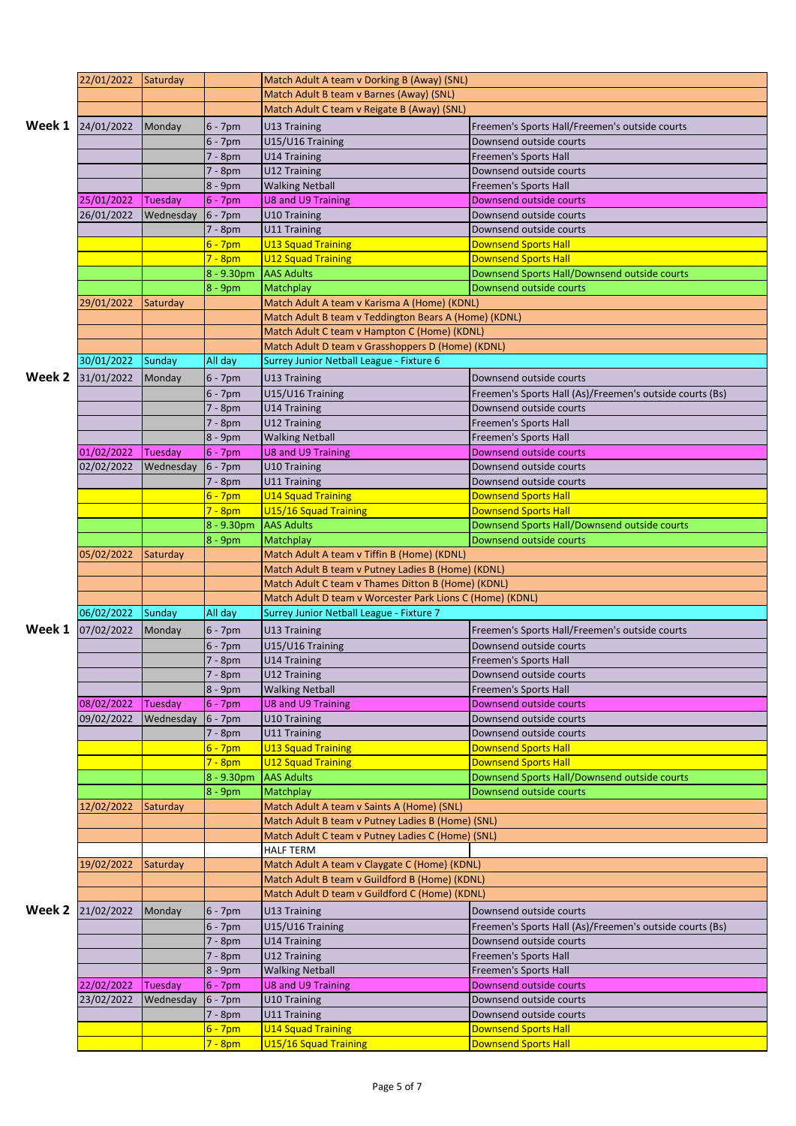|        | 22/01/2022 Saturday |           |                                   | Match Adult A team v Dorking B (Away) (SNL)               |                                                            |  |  |
|--------|---------------------|-----------|-----------------------------------|-----------------------------------------------------------|------------------------------------------------------------|--|--|
|        |                     |           |                                   | Match Adult B team v Barnes (Away) (SNL)                  |                                                            |  |  |
|        |                     |           |                                   | Match Adult C team v Reigate B (Away) (SNL)               |                                                            |  |  |
| Week 1 | 24/01/2022          | Monday    | 6 - 7pm                           | U13 Training                                              | Freemen's Sports Hall/Freemen's outside courts             |  |  |
|        |                     |           | $6 - 7$ pm                        | U15/U16 Training                                          | Downsend outside courts                                    |  |  |
|        |                     |           | 7 - 8pm                           | <b>U14 Training</b>                                       | Freemen's Sports Hall                                      |  |  |
|        |                     |           | 7 - 8pm                           | U12 Training                                              | Downsend outside courts                                    |  |  |
|        |                     |           | 8 - 9pm                           | <b>Walking Netball</b>                                    | <b>Freemen's Sports Hall</b>                               |  |  |
|        | 25/01/2022          | Tuesday   | $6 - 7$ pm                        | <b>U8 and U9 Training</b>                                 | Downsend outside courts                                    |  |  |
|        | 26/01/2022          | Wednesday | $6 - 7$ pm                        | U10 Training                                              | Downsend outside courts                                    |  |  |
|        |                     |           | 7 - 8pm                           | U11 Training                                              | Downsend outside courts                                    |  |  |
|        |                     |           | $6 - 7pm$                         | <b>U13 Squad Training</b>                                 | <b>Downsend Sports Hall</b>                                |  |  |
|        |                     |           | $7 - 8pm$                         | <b>U12 Squad Training</b>                                 | <b>Downsend Sports Hall</b>                                |  |  |
|        |                     |           | 8 - 9.30pm                        | <b>AAS Adults</b>                                         | Downsend Sports Hall/Downsend outside courts               |  |  |
|        |                     |           | $8 - 9$ pm                        | Matchplay                                                 | Downsend outside courts                                    |  |  |
|        | 29/01/2022          | Saturday  |                                   | Match Adult A team v Karisma A (Home) (KDNL)              |                                                            |  |  |
|        |                     |           |                                   | Match Adult B team v Teddington Bears A (Home) (KDNL)     |                                                            |  |  |
|        |                     |           |                                   | Match Adult C team v Hampton C (Home) (KDNL)              |                                                            |  |  |
|        |                     |           |                                   | Match Adult D team v Grasshoppers D (Home) (KDNL)         |                                                            |  |  |
|        | 30/01/2022          | Sunday    | All day                           | Surrey Junior Netball League - Fixture 6                  |                                                            |  |  |
| Week 2 | 31/01/2022          | Monday    | $6 - 7$ pm                        | U13 Training                                              | Downsend outside courts                                    |  |  |
|        |                     |           | $6 - 7$ pm                        | U15/U16 Training                                          | Freemen's Sports Hall (As)/Freemen's outside courts (Bs)   |  |  |
|        |                     |           | 7 - 8pm                           | U14 Training                                              | Downsend outside courts                                    |  |  |
|        |                     |           | 7 - 8pm                           | U12 Training                                              | Freemen's Sports Hall                                      |  |  |
|        |                     |           | 8 - 9pm                           | <b>Walking Netball</b>                                    | <b>Freemen's Sports Hall</b>                               |  |  |
|        | 01/02/2022          | Tuesday   | $6 - 7$ pm                        | U8 and U9 Training                                        | Downsend outside courts                                    |  |  |
|        | 02/02/2022          | Wednesday | $6 - 7$ pm                        | U10 Training                                              | Downsend outside courts                                    |  |  |
|        |                     |           | 7 - 8pm                           | U11 Training                                              | Downsend outside courts                                    |  |  |
|        |                     |           | $6 - 7$ pm                        | <b>U14 Squad Training</b>                                 | <b>Downsend Sports Hall</b>                                |  |  |
|        |                     |           | $7 - 8pm$                         | U15/16 Squad Training                                     | <b>Downsend Sports Hall</b>                                |  |  |
|        |                     |           | 8 - 9.30pm                        | <b>AAS Adults</b>                                         | Downsend Sports Hall/Downsend outside courts               |  |  |
|        |                     |           | $8 - 9$ pm                        | Matchplay                                                 | Downsend outside courts                                    |  |  |
|        | 05/02/2022          | Saturday  |                                   | Match Adult A team v Tiffin B (Home) (KDNL)               |                                                            |  |  |
|        |                     |           |                                   | Match Adult B team v Putney Ladies B (Home) (KDNL)        |                                                            |  |  |
|        |                     |           |                                   |                                                           |                                                            |  |  |
|        |                     |           |                                   | Match Adult C team v Thames Ditton B (Home) (KDNL)        |                                                            |  |  |
|        |                     |           |                                   | Match Adult D team v Worcester Park Lions C (Home) (KDNL) |                                                            |  |  |
|        | 06/02/2022          | Sunday    | All day                           | Surrey Junior Netball League - Fixture 7                  |                                                            |  |  |
| Week 1 | 07/02/2022          | Monday    | 6 - 7pm                           | U13 Training                                              | Freemen's Sports Hall/Freemen's outside courts             |  |  |
|        |                     |           | $6 - 7$ pm                        | U15/U16 Training                                          | Downsend outside courts                                    |  |  |
|        |                     |           | 7 - 8pm                           | U14 Training                                              | <b>Freemen's Sports Hall</b>                               |  |  |
|        |                     |           | 7 - 8pm                           | U12 Training                                              | Downsend outside courts                                    |  |  |
|        |                     |           | 8 - 9pm                           | <b>Walking Netball</b>                                    | <b>Freemen's Sports Hall</b>                               |  |  |
|        | 08/02/2022          | Tuesday   | $6 - 7$ pm                        | <b>U8 and U9 Training</b>                                 | Downsend outside courts                                    |  |  |
|        | 09/02/2022          | Wednesday | $6 - 7$ pm                        | U10 Training                                              | Downsend outside courts                                    |  |  |
|        |                     |           | 7 - 8pm                           | U11 Training                                              | Downsend outside courts                                    |  |  |
|        |                     |           | $6 - 7$ pm                        | <b>U13 Squad Training</b>                                 | <b>Downsend Sports Hall</b>                                |  |  |
|        |                     |           | $7 - 8pm$                         | <b>U12 Squad Training</b>                                 | <b>Downsend Sports Hall</b>                                |  |  |
|        |                     |           | $8 - 9.30pm$                      | <b>AAS Adults</b>                                         | Downsend Sports Hall/Downsend outside courts               |  |  |
|        |                     |           | $8 - 9$ pm                        | Matchplay                                                 | Downsend outside courts                                    |  |  |
|        | 12/02/2022          | Saturday  |                                   | Match Adult A team v Saints A (Home) (SNL)                |                                                            |  |  |
|        |                     |           |                                   | Match Adult B team v Putney Ladies B (Home) (SNL)         |                                                            |  |  |
|        |                     |           |                                   | Match Adult C team v Putney Ladies C (Home) (SNL)         |                                                            |  |  |
|        |                     |           |                                   | <b>HALF TERM</b>                                          |                                                            |  |  |
|        | 19/02/2022          | Saturday  |                                   | Match Adult A team v Claygate C (Home) (KDNL)             |                                                            |  |  |
|        |                     |           |                                   | Match Adult B team v Guildford B (Home) (KDNL)            |                                                            |  |  |
|        |                     |           |                                   | Match Adult D team v Guildford C (Home) (KDNL)            |                                                            |  |  |
| Week 2 | 21/02/2022          | Monday    | 6 - 7pm                           | U13 Training                                              | Downsend outside courts                                    |  |  |
|        |                     |           | $6 - 7$ pm                        | U15/U16 Training                                          | Freemen's Sports Hall (As)/Freemen's outside courts (Bs)   |  |  |
|        |                     |           | 7 - 8pm                           | <b>U14 Training</b>                                       | Downsend outside courts                                    |  |  |
|        |                     |           | $7 - 8pm$                         | U12 Training                                              | <b>Freemen's Sports Hall</b>                               |  |  |
|        |                     |           | $8 - 9$ pm                        | <b>Walking Netball</b>                                    | Freemen's Sports Hall                                      |  |  |
|        | 22/02/2022          | Tuesday   | $6 - 7$ pm                        | <b>U8 and U9 Training</b>                                 | Downsend outside courts                                    |  |  |
|        | 23/02/2022          | Wednesday | $6 - 7$ pm                        | U10 Training                                              | Downsend outside courts                                    |  |  |
|        |                     |           | 7 - 8pm                           | U11 Training                                              | Downsend outside courts                                    |  |  |
|        |                     |           | $6 - 7pm$<br><mark>7 - 8pm</mark> | <b>U14 Squad Training</b><br>U15/16 Squad Training        | <b>Downsend Sports Hall</b><br><b>Downsend Sports Hall</b> |  |  |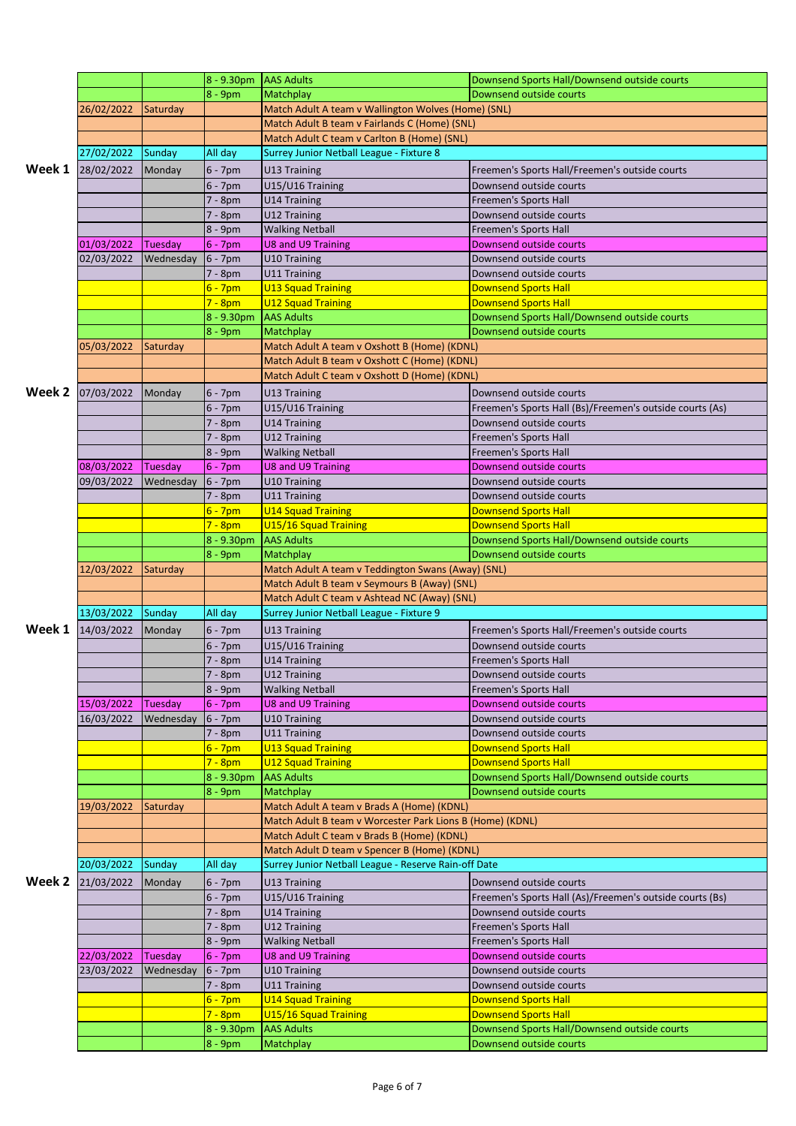|        |            |           | 8 - 9.30pm AAS Adults   |                                                           | Downsend Sports Hall/Downsend outside courts               |  |
|--------|------------|-----------|-------------------------|-----------------------------------------------------------|------------------------------------------------------------|--|
|        |            |           | $8 - 9$ pm              | <b>Matchplay</b>                                          | Downsend outside courts                                    |  |
|        | 26/02/2022 | Saturday  |                         | Match Adult A team v Wallington Wolves (Home) (SNL)       |                                                            |  |
|        |            |           |                         | Match Adult B team v Fairlands C (Home) (SNL)             |                                                            |  |
|        |            |           |                         | Match Adult C team v Carlton B (Home) (SNL)               |                                                            |  |
|        | 27/02/2022 | Sunday    | All day                 | Surrey Junior Netball League - Fixture 8                  |                                                            |  |
| Week 1 | 28/02/2022 | Monday    | $6 - 7$ pm              | U13 Training                                              | Freemen's Sports Hall/Freemen's outside courts             |  |
|        |            |           | $6 - 7$ pm              | U15/U16 Training                                          | Downsend outside courts                                    |  |
|        |            |           | 7 - 8pm                 | U14 Training                                              | Freemen's Sports Hall                                      |  |
|        |            |           | 7 - 8pm                 | U12 Training                                              | Downsend outside courts                                    |  |
|        |            |           | 8 - 9pm                 | <b>Walking Netball</b>                                    | Freemen's Sports Hall                                      |  |
|        | 01/03/2022 | Tuesday   | $6 - 7$ pm              | <b>U8 and U9 Training</b>                                 | Downsend outside courts                                    |  |
|        | 02/03/2022 | Wednesday | $6 - 7$ pm              | U10 Training                                              | Downsend outside courts                                    |  |
|        |            |           | 7 - 8pm                 | U11 Training                                              | Downsend outside courts                                    |  |
|        |            |           | $6 - 7$ pm              | <b>U13 Squad Training</b>                                 | <b>Downsend Sports Hall</b>                                |  |
|        |            |           | $7 - 8pm$               | <b>U12 Squad Training</b>                                 | <b>Downsend Sports Hall</b>                                |  |
|        |            |           | 8 - 9.30pm              | <b>AAS Adults</b>                                         | Downsend Sports Hall/Downsend outside courts               |  |
|        |            |           | $8 - 9$ pm              | Matchplay                                                 | Downsend outside courts                                    |  |
|        | 05/03/2022 | Saturday  |                         | Match Adult A team v Oxshott B (Home) (KDNL)              |                                                            |  |
|        |            |           |                         | Match Adult B team v Oxshott C (Home) (KDNL)              |                                                            |  |
|        |            |           |                         | Match Adult C team v Oxshott D (Home) (KDNL)              |                                                            |  |
| Week 2 | 07/03/2022 | Monday    | $6 - 7$ pm              | U13 Training                                              | Downsend outside courts                                    |  |
|        |            |           | $6 - 7$ pm              | U15/U16 Training                                          | Freemen's Sports Hall (Bs)/Freemen's outside courts (As)   |  |
|        |            |           | 7 - 8pm                 | U14 Training                                              | Downsend outside courts                                    |  |
|        |            |           | $7 - 8pm$               | U12 Training                                              | <b>Freemen's Sports Hall</b>                               |  |
|        |            |           | 8 - 9pm                 | <b>Walking Netball</b>                                    | <b>Freemen's Sports Hall</b>                               |  |
|        | 08/03/2022 | Tuesday   | $6 - 7$ pm              | U8 and U9 Training                                        | Downsend outside courts                                    |  |
|        | 09/03/2022 | Wednesday | $6 - 7$ pm              | U10 Training                                              | Downsend outside courts                                    |  |
|        |            |           | 7 - 8pm                 | U11 Training                                              | Downsend outside courts                                    |  |
|        |            |           | $6 - 7$ pm              | <b>U14 Squad Training</b>                                 | <b>Downsend Sports Hall</b>                                |  |
|        |            |           | $7 - 8pm$               | U15/16 Squad Training                                     | <b>Downsend Sports Hall</b>                                |  |
|        |            |           | $8 - 9.30pm$            | <b>AAS Adults</b>                                         | Downsend Sports Hall/Downsend outside courts               |  |
|        |            |           | 8 - 9pm                 | Matchplay                                                 | Downsend outside courts                                    |  |
|        |            |           |                         | Match Adult A team v Teddington Swans (Away) (SNL)        |                                                            |  |
|        | 12/03/2022 | Saturday  |                         |                                                           |                                                            |  |
|        |            |           |                         | Match Adult B team v Seymours B (Away) (SNL)              |                                                            |  |
|        |            |           |                         | Match Adult C team v Ashtead NC (Away) (SNL)              |                                                            |  |
|        | 13/03/2022 | Sunday    | All day                 | Surrey Junior Netball League - Fixture 9                  |                                                            |  |
| Week 1 | 14/03/2022 | Monday    | $6 - 7$ pm              | U13 Training                                              | Freemen's Sports Hall/Freemen's outside courts             |  |
|        |            |           | $6 - 7$ pm              | U15/U16 Training                                          | Downsend outside courts                                    |  |
|        |            |           | 7 - 8pm                 | U14 Training                                              | Freemen's Sports Hall                                      |  |
|        |            |           | $7 - 8pm$               | U12 Training                                              | Downsend outside courts                                    |  |
|        |            |           | 8 - 9pm                 | <b>Walking Netball</b>                                    | Freemen's Sports Hall                                      |  |
|        | 15/03/2022 | Tuesday   | $6 - 7$ pm              | U8 and U9 Training                                        | Downsend outside courts                                    |  |
|        | 16/03/2022 | Wednesday | $6 - 7$ pm              | U10 Training                                              | Downsend outside courts                                    |  |
|        |            |           | 7 - 8pm                 | U11 Training                                              | Downsend outside courts                                    |  |
|        |            |           | $6 - 7$ pm              | U13 Squad Training                                        | <b>Downsend Sports Hall</b>                                |  |
|        |            |           | $7 - 8pm$               | <b>U12 Squad Training</b>                                 | <b>Downsend Sports Hall</b>                                |  |
|        |            |           | 8 - 9.30pm              | <b>AAS Adults</b>                                         | Downsend Sports Hall/Downsend outside courts               |  |
|        |            |           | $8 - 9pm$               | Matchplay                                                 | Downsend outside courts                                    |  |
|        | 19/03/2022 | Saturday  |                         | Match Adult A team v Brads A (Home) (KDNL)                |                                                            |  |
|        |            |           |                         | Match Adult B team v Worcester Park Lions B (Home) (KDNL) |                                                            |  |
|        |            |           |                         | Match Adult C team v Brads B (Home) (KDNL)                |                                                            |  |
|        |            |           |                         | Match Adult D team v Spencer B (Home) (KDNL)              |                                                            |  |
|        | 20/03/2022 | Sunday    | All day                 | Surrey Junior Netball League - Reserve Rain-off Date      |                                                            |  |
| Week 2 | 21/03/2022 | Monday    | 6 - 7pm                 | U13 Training                                              | Downsend outside courts                                    |  |
|        |            |           | $6 - 7$ pm              | U15/U16 Training                                          | Freemen's Sports Hall (As)/Freemen's outside courts (Bs)   |  |
|        |            |           | 7 - 8pm                 | U14 Training                                              | Downsend outside courts                                    |  |
|        |            |           | 7 - 8pm                 | U12 Training                                              | <b>Freemen's Sports Hall</b>                               |  |
|        |            |           | 8 - 9pm                 | <b>Walking Netball</b>                                    | Freemen's Sports Hall                                      |  |
|        | 22/03/2022 | Tuesday   | $6 - 7$ pm              | U8 and U9 Training                                        | Downsend outside courts                                    |  |
|        | 23/03/2022 | Wednesday | $6 - 7$ pm              | U10 Training                                              | Downsend outside courts                                    |  |
|        |            |           | 7 - 8pm                 | U11 Training                                              | Downsend outside courts                                    |  |
|        |            |           | $6 - 7$ pm<br>$7 - 8pm$ | <b>U14 Squad Training</b><br>U15/16 Squad Training        | <b>Downsend Sports Hall</b><br><b>Downsend Sports Hall</b> |  |
|        |            |           | 8 - 9.30pm              | <b>AAS Adults</b>                                         | Downsend Sports Hall/Downsend outside courts               |  |